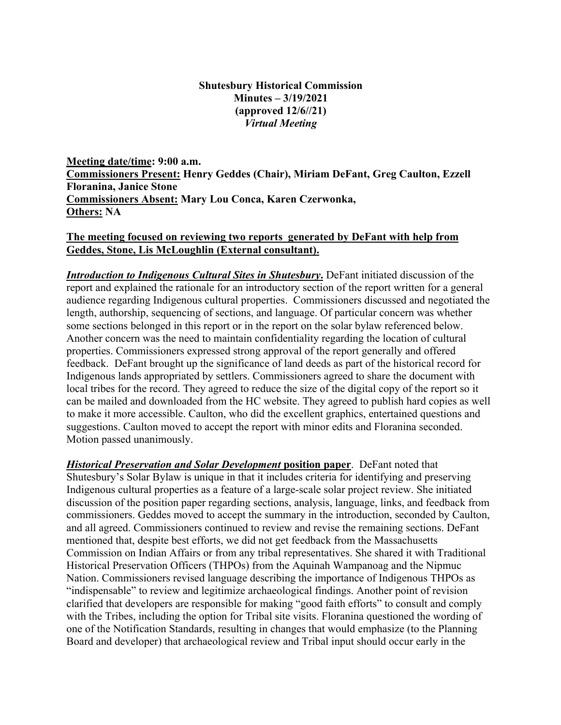## **Shutesbury Historical Commission Minutes – 3/19/2021 (approved 12/6//21)** *Virtual Meeting*

**Meeting date/time: 9:00 a.m. Commissioners Present: Henry Geddes (Chair), Miriam DeFant, Greg Caulton, Ezzell Floranina, Janice Stone Commissioners Absent: Mary Lou Conca, Karen Czerwonka, Others: NA**

# **The meeting focused on reviewing two reports generated by DeFant with help from Geddes, Stone, Lis McLoughlin (External consultant).**

*Introduction to Indigenous Cultural Sites in Shutesbury***.** DeFant initiated discussion of the report and explained the rationale for an introductory section of the report written for a general audience regarding Indigenous cultural properties. Commissioners discussed and negotiated the length, authorship, sequencing of sections, and language. Of particular concern was whether some sections belonged in this report or in the report on the solar bylaw referenced below. Another concern was the need to maintain confidentiality regarding the location of cultural properties. Commissioners expressed strong approval of the report generally and offered feedback. DeFant brought up the significance of land deeds as part of the historical record for Indigenous lands appropriated by settlers. Commissioners agreed to share the document with local tribes for the record. They agreed to reduce the size of the digital copy of the report so it can be mailed and downloaded from the HC website. They agreed to publish hard copies as well to make it more accessible. Caulton, who did the excellent graphics, entertained questions and suggestions. Caulton moved to accept the report with minor edits and Floranina seconded. Motion passed unanimously.

*Historical Preservation and Solar Development* **position paper**. DeFant noted that Shutesbury's Solar Bylaw is unique in that it includes criteria for identifying and preserving Indigenous cultural properties as a feature of a large-scale solar project review. She initiated discussion of the position paper regarding sections, analysis, language, links, and feedback from commissioners. Geddes moved to accept the summary in the introduction, seconded by Caulton, and all agreed. Commissioners continued to review and revise the remaining sections. DeFant mentioned that, despite best efforts, we did not get feedback from the Massachusetts Commission on Indian Affairs or from any tribal representatives. She shared it with Traditional Historical Preservation Officers (THPOs) from the Aquinah Wampanoag and the Nipmuc Nation. Commissioners revised language describing the importance of Indigenous THPOs as "indispensable" to review and legitimize archaeological findings. Another point of revision clarified that developers are responsible for making "good faith efforts" to consult and comply with the Tribes, including the option for Tribal site visits. Floranina questioned the wording of one of the Notification Standards, resulting in changes that would emphasize (to the Planning Board and developer) that archaeological review and Tribal input should occur early in the